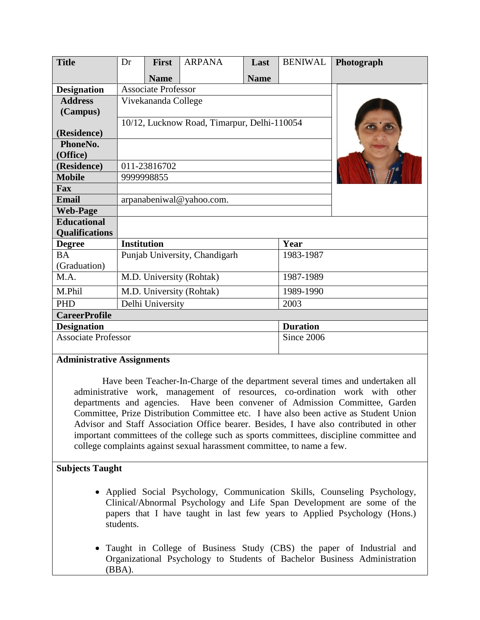| <b>Title</b>                          | Dr                                          | <b>First</b> | <b>ARPANA</b> | Last        | <b>BENIWAL</b> | Photograph |
|---------------------------------------|---------------------------------------------|--------------|---------------|-------------|----------------|------------|
|                                       |                                             | <b>Name</b>  |               | <b>Name</b> |                |            |
| <b>Designation</b>                    | <b>Associate Professor</b>                  |              |               |             |                |            |
| <b>Address</b>                        | Vivekananda College                         |              |               |             |                |            |
| (Campus)                              |                                             |              |               |             |                |            |
|                                       | 10/12, Lucknow Road, Timarpur, Delhi-110054 |              |               |             |                |            |
| (Residence)                           |                                             |              |               |             |                |            |
| PhoneNo.                              |                                             |              |               |             |                |            |
| (Office)                              |                                             |              |               |             |                |            |
| (Residence)                           | 011-23816702                                |              |               |             |                |            |
| <b>Mobile</b>                         | 9999998855                                  |              |               |             |                |            |
| <b>Fax</b>                            |                                             |              |               |             |                |            |
| <b>Email</b>                          | arpanabeniwal@yahoo.com.                    |              |               |             |                |            |
| <b>Web-Page</b>                       |                                             |              |               |             |                |            |
| <b>Educational</b>                    |                                             |              |               |             |                |            |
| <b>Qualifications</b>                 |                                             |              |               |             |                |            |
| <b>Degree</b>                         | <b>Institution</b>                          |              |               |             | Year           |            |
| <b>BA</b>                             | Punjab University, Chandigarh               |              |               |             | 1983-1987      |            |
| (Graduation)                          |                                             |              |               |             |                |            |
| M.A.                                  | M.D. University (Rohtak)                    |              |               |             | 1987-1989      |            |
| M.Phil                                | M.D. University (Rohtak)                    |              |               | 1989-1990   |                |            |
| <b>PHD</b>                            | Delhi University<br>2003                    |              |               |             |                |            |
| <b>CareerProfile</b>                  |                                             |              |               |             |                |            |
| <b>Duration</b><br><b>Designation</b> |                                             |              |               |             |                |            |
| <b>Associate Professor</b>            |                                             |              |               |             | Since 2006     |            |

# **Administrative Assignments**

Have been Teacher-In-Charge of the department several times and undertaken all administrative work, management of resources, co-ordination work with other departments and agencies. Have been convener of Admission Committee, Garden Committee, Prize Distribution Committee etc. I have also been active as Student Union Advisor and Staff Association Office bearer. Besides, I have also contributed in other important committees of the college such as sports committees, discipline committee and college complaints against sexual harassment committee, to name a few.

# **Subjects Taught**

- Applied Social Psychology, Communication Skills, Counseling Psychology, Clinical/Abnormal Psychology and Life Span Development are some of the papers that I have taught in last few years to Applied Psychology (Hons.) students.
- Taught in College of Business Study (CBS) the paper of Industrial and Organizational Psychology to Students of Bachelor Business Administration (BBA).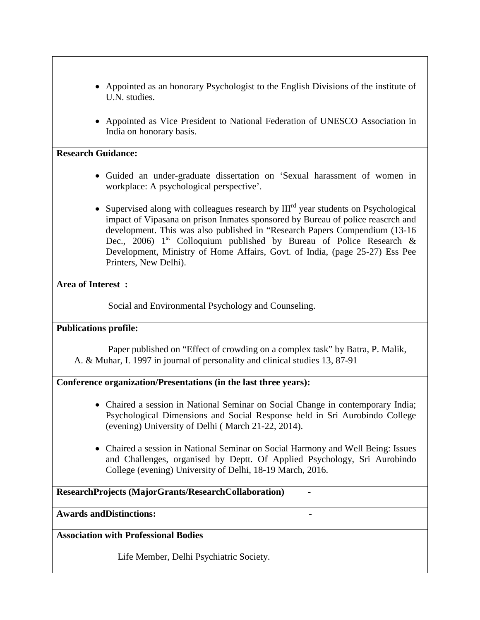- Appointed as an honorary Psychologist to the English Divisions of the institute of U.N. studies.
- Appointed as Vice President to National Federation of UNESCO Association in India on honorary basis.

#### **Research Guidance:**

- Guided an under-graduate dissertation on 'Sexual harassment of women in workplace: A psychological perspective'.
- Supervised along with colleagues research by  $III<sup>rd</sup>$  year students on Psychological impact of Vipasana on prison Inmates sponsored by Bureau of police reascrch and development. This was also published in "Research Papers Compendium (13-16 Dec., 2006)  $1^{st}$  Colloquium published by Bureau of Police Research & Development, Ministry of Home Affairs, Govt. of India, (page 25-27) Ess Pee Printers, New Delhi).

# **Area of Interest :**

Social and Environmental Psychology and Counseling.

# **Publications profile:**

Paper published on "Effect of crowding on a complex task" by Batra, P. Malik, A. & Muhar, I. 1997 in journal of personality and clinical studies 13, 87-91

# **Conference organization/Presentations (in the last three years):**

- Chaired a session in National Seminar on Social Change in contemporary India; Psychological Dimensions and Social Response held in Sri Aurobindo College (evening) University of Delhi ( March 21-22, 2014).
- Chaired a session in National Seminar on Social Harmony and Well Being: Issues and Challenges, organised by Deptt. Of Applied Psychology, Sri Aurobindo College (evening) University of Delhi, 18-19 March, 2016.

# **ResearchProjects (MajorGrants/ResearchCollaboration) -**

**Awards andDistinctions: -**

**Association with Professional Bodies** 

Life Member, Delhi Psychiatric Society.